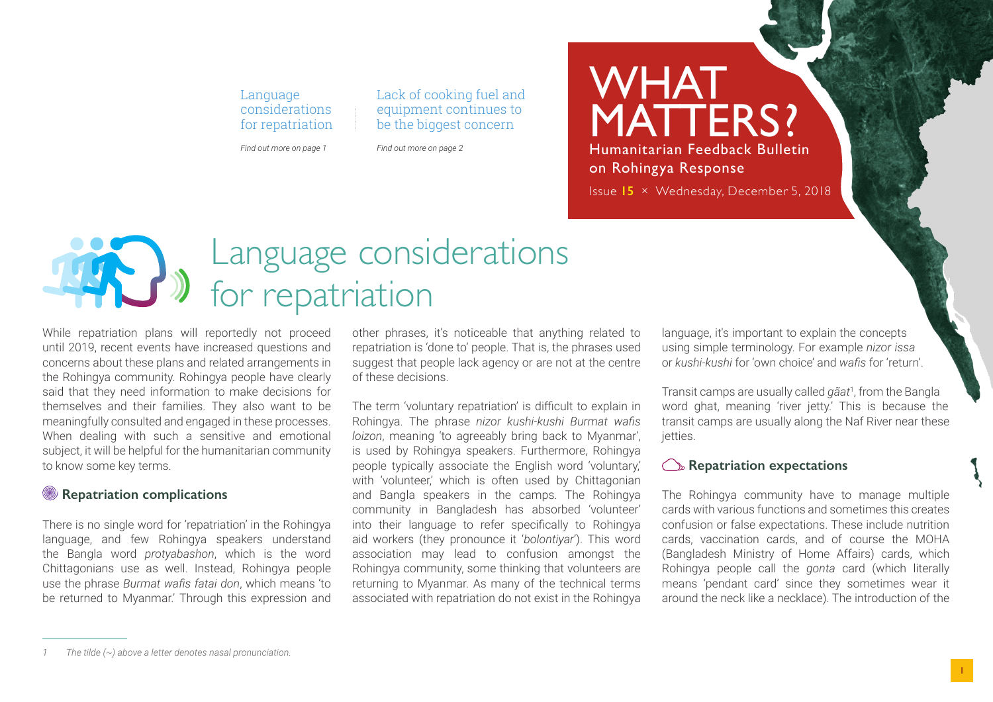#### Language considerations for repatriation

*Find out more on page 1*

*Find out more on page 2*

Lack of cooking fuel and equipment continues to be the biggest concern

### WHAT MATTERS? Humanitarian Feedback Bulletin on Rohingya Response

Issue **15** × Wednesday, December 5, 2018

# Language considerations for repatriation

While repatriation plans will reportedly not proceed until 2019, recent events have increased questions and concerns about these plans and related arrangements in the Rohingya community. Rohingya people have clearly said that they need information to make decisions for themselves and their families. They also want to be meaningfully consulted and engaged in these processes. When dealing with such a sensitive and emotional subject, it will be helpful for the humanitarian community to know some key terms.

#### **Repatriation complications**

There is no single word for 'repatriation' in the Rohingya language, and few Rohingya speakers understand the Bangla word *protyabashon*, which is the word Chittagonians use as well. Instead, Rohingya people use the phrase *Burmat wafis fatai don*, which means 'to be returned to Myanmar.' Through this expression and

other phrases, it's noticeable that anything related to repatriation is 'done to' people. That is, the phrases used suggest that people lack agency or are not at the centre of these decisions.

The term 'voluntary repatriation' is difficult to explain in Rohingya. The phrase *nizor kushi-kushi Burmat wafis loizon*, meaning 'to agreeably bring back to Myanmar', is used by Rohingya speakers. Furthermore, Rohingya people typically associate the English word 'voluntary,' with 'volunteer', which is often used by Chittagonian and Bangla speakers in the camps. The Rohingya community in Bangladesh has absorbed 'volunteer' into their language to refer specifically to Rohingya aid workers (they pronounce it '*bolontiyar*'). This word association may lead to confusion amongst the Rohingya community, some thinking that volunteers are returning to Myanmar. As many of the technical terms associated with repatriation do not exist in the Rohingya

language, it's important to explain the concepts using simple terminology. For example *nizor issa* or *kushi-kushi* for 'own choice' and *wafis* for 'return'.

Transit camps are usually called *gãat*<sup>1</sup> , from the Bangla word ghat, meaning 'river jetty.' This is because the transit camps are usually along the Naf River near these ietties.

#### **C** Repatriation expectations

The Rohingya community have to manage multiple cards with various functions and sometimes this creates confusion or false expectations. These include nutrition cards, vaccination cards, and of course the MOHA (Bangladesh Ministry of Home Affairs) cards, which Rohingya people call the *gonta* card (which literally means 'pendant card' since they sometimes wear it around the neck like a necklace). The introduction of the

1

*<sup>1</sup> The tilde (~) above a letter denotes nasal pronunciation.*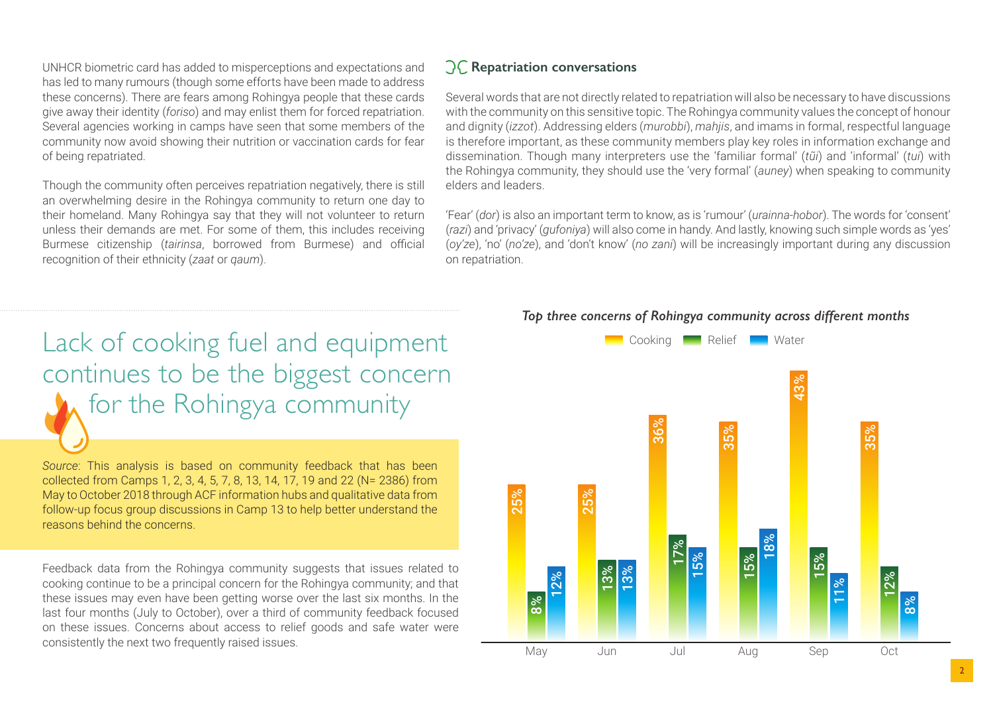UNHCR biometric card has added to misperceptions and expectations and has led to many rumours (though some efforts have been made to address these concerns). There are fears among Rohingya people that these cards give away their identity (*foriso*) and may enlist them for forced repatriation. Several agencies working in camps have seen that some members of the community now avoid showing their nutrition or vaccination cards for fear of being repatriated.

Though the community often perceives repatriation negatively, there is still an overwhelming desire in the Rohingya community to return one day to their homeland. Many Rohingya say that they will not volunteer to return unless their demands are met. For some of them, this includes receiving Burmese citizenship (*tairinsa*, borrowed from Burmese) and official recognition of their ethnicity (*zaat* or *qaum*).

#### **Repatriation conversations**

Several words that are not directly related to repatriation will also be necessary to have discussions with the community on this sensitive topic. The Rohingya community values the concept of honour and dignity (*izzot*). Addressing elders (*murobbi*), *mahjis*, and imams in formal, respectful language is therefore important, as these community members play key roles in information exchange and dissemination. Though many interpreters use the 'familiar formal' (*tũi*) and 'informal' (*tui*) with the Rohingya community, they should use the 'very formal' (*auney*) when speaking to community elders and leaders.

'Fear' (*dor*) is also an important term to know, as is 'rumour' (*urainna-hobor*). The words for 'consent' (*razi*) and 'privacy' (*gufoniya*) will also come in handy. And lastly, knowing such simple words as 'yes' (*oy'ze*), 'no' (*no'ze*), and 'don't know' (*no zani*) will be increasingly important during any discussion on repatriation.

## Lack of cooking fuel and equipment continues to be the biggest concern for the Rohingya community

*Source*: This analysis is based on community feedback that has been collected from Camps 1, 2, 3, 4, 5, 7, 8, 13, 14, 17, 19 and 22 (N= 2386) from May to October 2018 through ACF information hubs and qualitative data from follow-up focus group discussions in Camp 13 to help better understand the reasons behind the concerns.

Feedback data from the Rohingya community suggests that issues related to cooking continue to be a principal concern for the Rohingya community; and that these issues may even have been getting worse over the last six months. In the last four months (July to October), over a third of community feedback focused on these issues. Concerns about access to relief goods and safe water were consistently the next two frequently raised issues.

#### *Top three concerns of Rohingya community across different months*

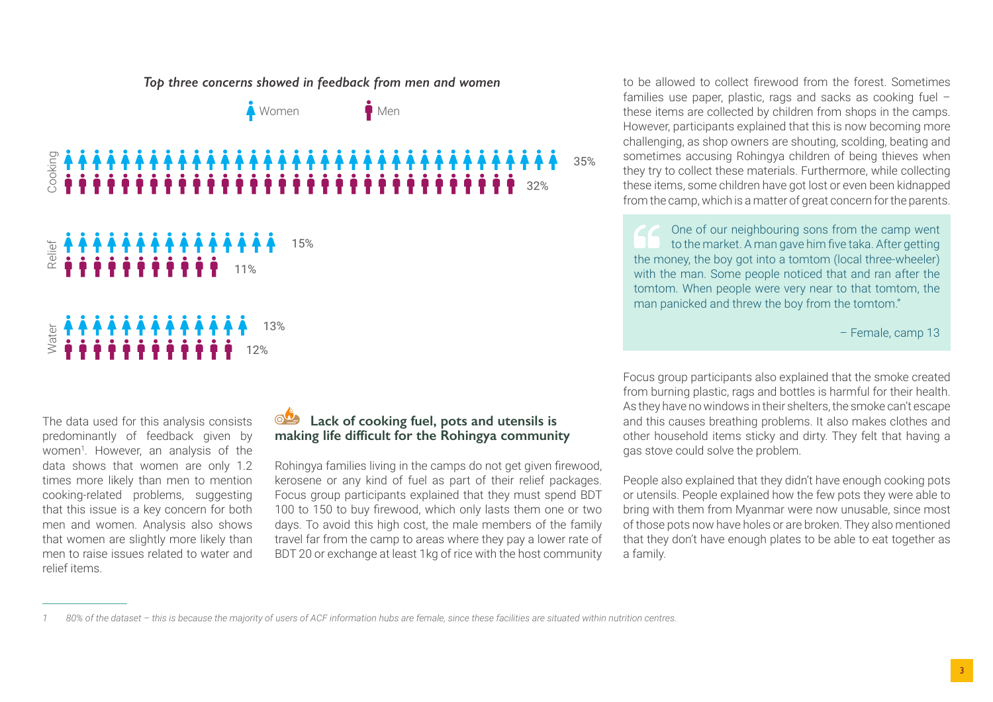

The data used for this analysis consists predominantly of feedback given by women<sup>1</sup>. However, an analysis of the data shows that women are only 1.2 times more likely than men to mention cooking-related problems, suggesting that this issue is a key concern for both men and women. Analysis also shows that women are slightly more likely than men to raise issues related to water and relief items.

#### **Lack of cooking fuel, pots and utensils is making life difficult for the Rohingya community**

Rohingya families living in the camps do not get given firewood, kerosene or any kind of fuel as part of their relief packages. Focus group participants explained that they must spend BDT 100 to 150 to buy firewood, which only lasts them one or two days. To avoid this high cost, the male members of the family travel far from the camp to areas where they pay a lower rate of BDT 20 or exchange at least 1kg of rice with the host community

to be allowed to collect firewood from the forest. Sometimes families use paper, plastic, rags and sacks as cooking fuel – these items are collected by children from shops in the camps. However, participants explained that this is now becoming more challenging, as shop owners are shouting, scolding, beating and sometimes accusing Rohingya children of being thieves when they try to collect these materials. Furthermore, while collecting these items, some children have got lost or even been kidnapped from the camp, which is a matter of great concern for the parents.

One of our neighbouring sons from the camp went to the market. A man gave him five taka. After getting the money, the boy got into a tomtom (local three-wheeler) with the man. Some people noticed that and ran after the tomtom. When people were very near to that tomtom, the man panicked and threw the boy from the tomtom."

– Female, camp 13

Focus group participants also explained that the smoke created from burning plastic, rags and bottles is harmful for their health. As they have no windows in their shelters, the smoke can't escape and this causes breathing problems. It also makes clothes and other household items sticky and dirty. They felt that having a gas stove could solve the problem.

People also explained that they didn't have enough cooking pots or utensils. People explained how the few pots they were able to bring with them from Myanmar were now unusable, since most of those pots now have holes or are broken. They also mentioned that they don't have enough plates to be able to eat together as a family.

*<sup>1</sup> 80% of the dataset – this is because the majority of users of ACF information hubs are female, since these facilities are situated within nutrition centres.*